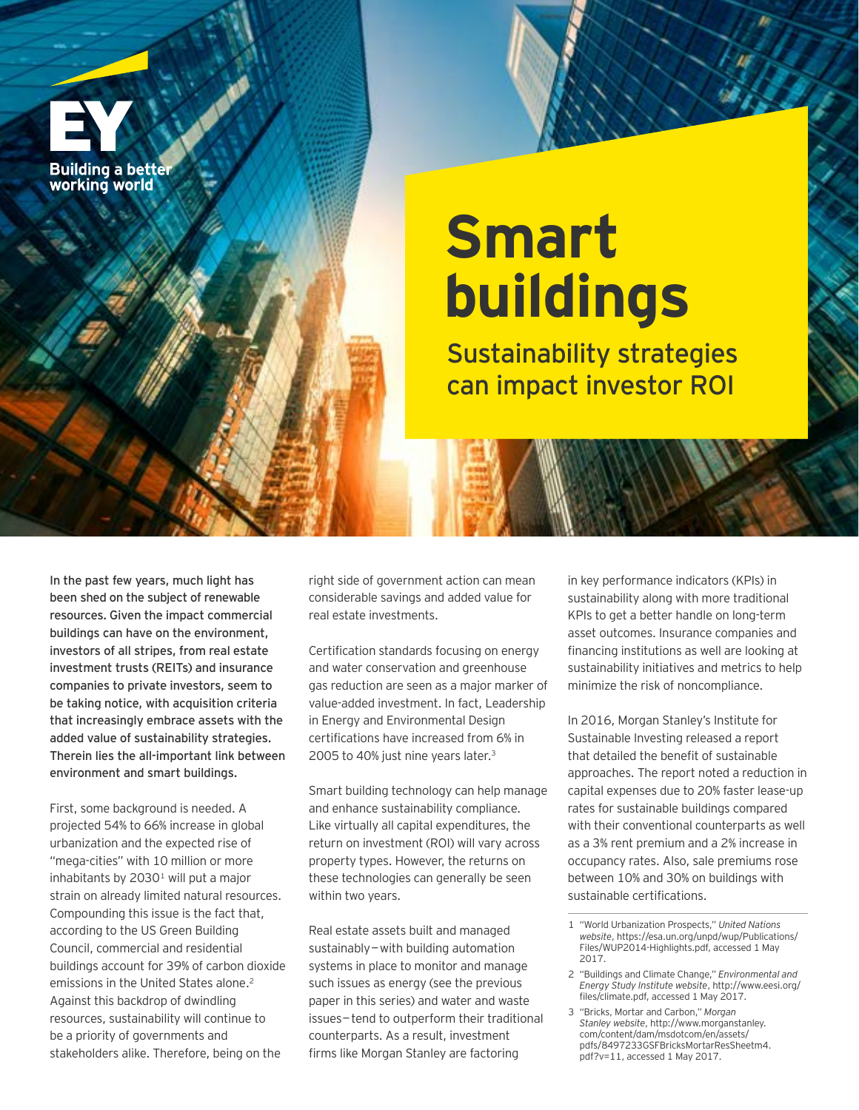

# **Smart buildings**

Sustainability strategies can impact investor ROI

In the past few years, much light has been shed on the subject of renewable resources. Given the impact commercial buildings can have on the environment, investors of all stripes, from real estate investment trusts (REITs) and insurance companies to private investors, seem to be taking notice, with acquisition criteria that increasingly embrace assets with the added value of sustainability strategies. Therein lies the all-important link between environment and smart buildings.

First, some background is needed. A projected 54% to 66% increase in global urbanization and the expected rise of "mega-cities" with 10 million or more inhabitants by  $2030<sup>1</sup>$  will put a major strain on already limited natural resources. Compounding this issue is the fact that, according to the US Green Building Council, commercial and residential buildings account for 39% of carbon dioxide emissions in the United States alone. 2 Against this backdrop of dwindling resources, sustainability will continue to be a priority of governments and stakeholders alike. Therefore, being on the

right side of government action can mean considerable savings and added value for real estate investments.

Certification standards focusing on energy and water conservation and greenhouse gas reduction are seen as a major marker of value-added investment. In fact, Leadership in Energy and Environmental Design certifications have increased from 6% in 2005 to 40% just nine years later. 3

Smart building technology can help manage and enhance sustainability compliance. Like virtually all capital expenditures, the return on investment (ROI) will vary across property types. However, the returns on these technologies can generally be seen within two years.

Real estate assets built and managed sustainably—with building automation systems in place to monitor and manage such issues as energy (see the previous paper in this series) and water and waste issues—tend to outperform their traditional counterparts. As a result, investment firms like Morgan Stanley are factoring

in key performance indicators (KPIs) in sustainability along with more traditional KPIs to get a better handle on long-term asset outcomes. Insurance companies and financing institutions as well are looking at sustainability initiatives and metrics to help minimize the risk of noncompliance.

In 2016, Morgan Stanley's Institute for Sustainable Investing released a report that detailed the benefit of sustainable approaches. The report noted a reduction in capital expenses due to 20% faster lease-up rates for sustainable buildings compared with their conventional counterparts as well as a 3% rent premium and a 2% increase in occupancy rates. Also, sale premiums rose between 10% and 30% on buildings with sustainable certifications.

<sup>1</sup> "World Urbanization Prospects," *United Nations website*, [https://esa.un.org/unpd/wup/Publications/](https://esa.un.org/unpd/wup/Publications/Files/WUP2014-Highlights.pdf) [Files/WUP2014-Highlights.pdf,](https://esa.un.org/unpd/wup/Publications/Files/WUP2014-Highlights.pdf) accessed 1 May 2017.

<sup>2</sup> "Buildings and Climate Change," *Environmental and Energy Study Institute website*, [http://www.eesi.org/](http://www.eesi.org/files/climate.pdf) [files/climate.pdf,](http://www.eesi.org/files/climate.pdf) accessed 1 May 2017.

<sup>3</sup> "Bricks, Mortar and Carbon," *Morgan Stanley website*, [http://www.morganstanley.](http://www.morganstanley.com/content/dam/msdotcom/en/assets/pdfs/8497233GSFBricksMortarResSheetm4.pdf?v=11) [com/content/dam/msdotcom/en/assets/](http://www.morganstanley.com/content/dam/msdotcom/en/assets/pdfs/8497233GSFBricksMortarResSheetm4.pdf?v=11) [pdfs/8497233GSFBricksMortarResSheetm4.](http://www.morganstanley.com/content/dam/msdotcom/en/assets/pdfs/8497233GSFBricksMortarResSheetm4.pdf?v=11) [pdf?v=11](http://www.morganstanley.com/content/dam/msdotcom/en/assets/pdfs/8497233GSFBricksMortarResSheetm4.pdf?v=11), accessed 1 May 2017.